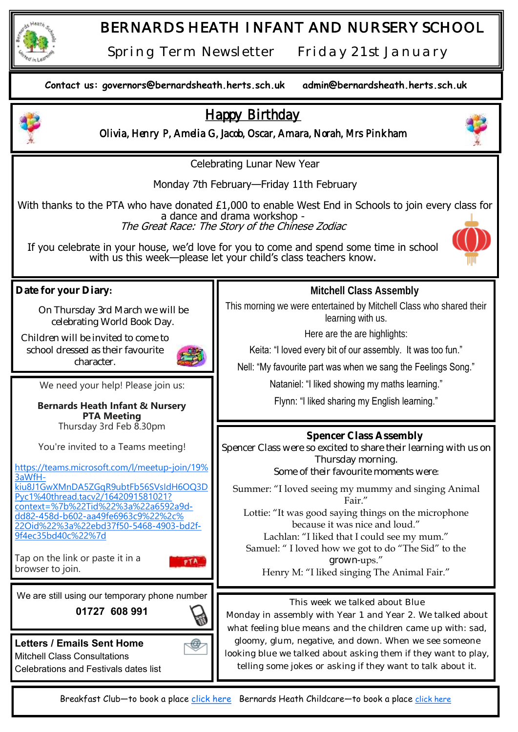

## *BERNARDS HEATH INFANT AND NURSERY SCHOOL*

*Spring Term Newsletter Friday 21st January* 



Breakfast Club-to book a place [click here](https://bernardsheath.herts.sch.uk/breakfast-club/) Bernards Heath Childcare-to book a place [click here](https://bernardsheath.herts.sch.uk/cse-after-school-club/)